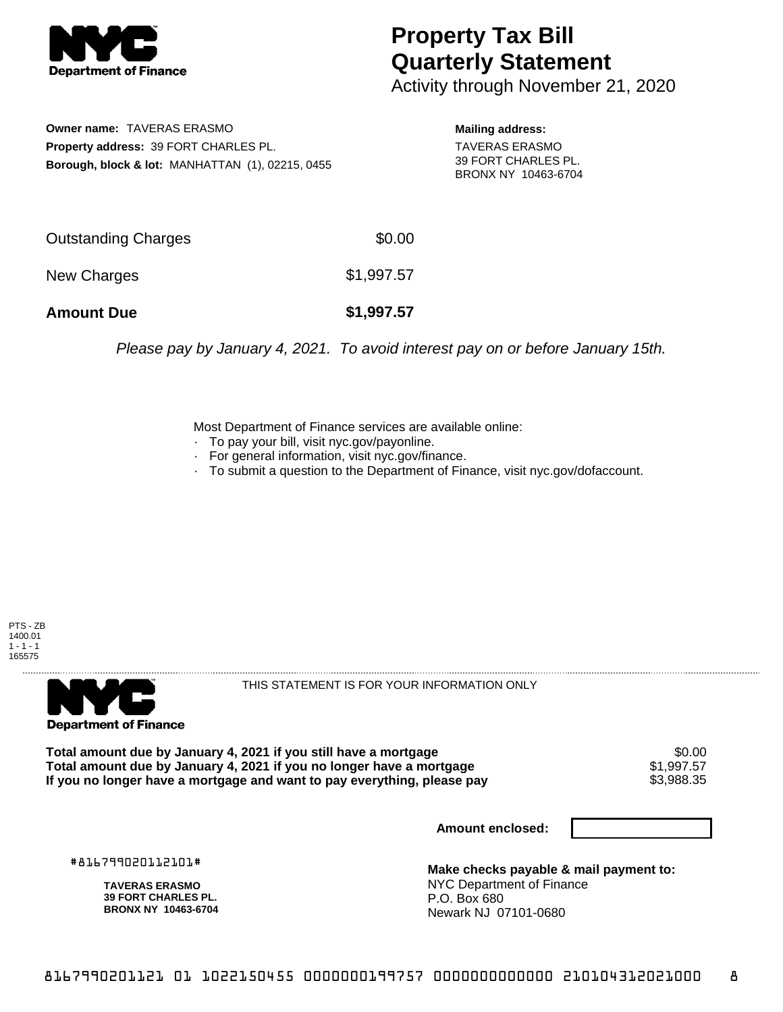

## **Property Tax Bill Quarterly Statement**

Activity through November 21, 2020

**Owner name:** TAVERAS ERASMO **Property address:** 39 FORT CHARLES PL. **Borough, block & lot:** MANHATTAN (1), 02215, 0455

**Mailing address:** TAVERAS ERASMO 39 FORT CHARLES PL. BRONX NY 10463-6704

| <b>Amount Due</b>   | \$1,997.57 |
|---------------------|------------|
| New Charges         | \$1,997.57 |
| Outstanding Charges | \$0.00     |

Please pay by January 4, 2021. To avoid interest pay on or before January 15th.

Most Department of Finance services are available online:

- · To pay your bill, visit nyc.gov/payonline.
- For general information, visit nyc.gov/finance.
- · To submit a question to the Department of Finance, visit nyc.gov/dofaccount.





THIS STATEMENT IS FOR YOUR INFORMATION ONLY

Total amount due by January 4, 2021 if you still have a mortgage \$0.00<br>Total amount due by January 4, 2021 if you no longer have a mortgage \$1.997.57 **Total amount due by January 4, 2021 if you no longer have a mortgage**  $$1,997.57$$ **<br>If you no longer have a mortgage and want to pay everything, please pay**  $$3,988.35$$ If you no longer have a mortgage and want to pay everything, please pay

**Amount enclosed:**

#816799020112101#

**TAVERAS ERASMO 39 FORT CHARLES PL. BRONX NY 10463-6704**

**Make checks payable & mail payment to:** NYC Department of Finance P.O. Box 680 Newark NJ 07101-0680